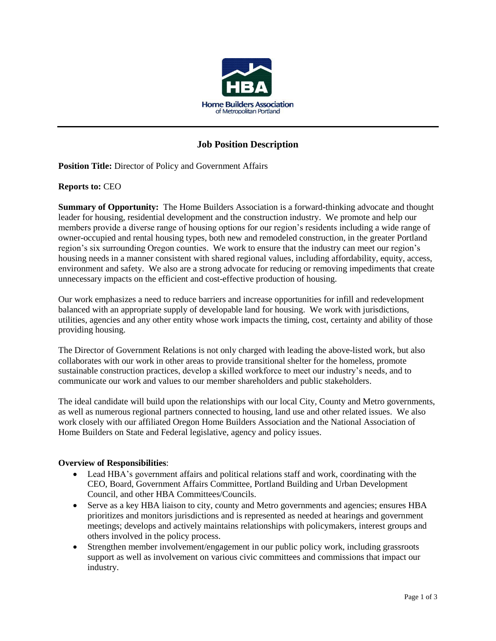

# **Job Position Description**

**Position Title:** Director of Policy and Government Affairs

#### **Reports to:** CEO

**Summary of Opportunity:** The Home Builders Association is a forward-thinking advocate and thought leader for housing, residential development and the construction industry. We promote and help our members provide a diverse range of housing options for our region's residents including a wide range of owner-occupied and rental housing types, both new and remodeled construction, in the greater Portland region's six surrounding Oregon counties. We work to ensure that the industry can meet our region's housing needs in a manner consistent with shared regional values, including affordability, equity, access, environment and safety. We also are a strong advocate for reducing or removing impediments that create unnecessary impacts on the efficient and cost-effective production of housing.

Our work emphasizes a need to reduce barriers and increase opportunities for infill and redevelopment balanced with an appropriate supply of developable land for housing. We work with jurisdictions, utilities, agencies and any other entity whose work impacts the timing, cost, certainty and ability of those providing housing.

The Director of Government Relations is not only charged with leading the above-listed work, but also collaborates with our work in other areas to provide transitional shelter for the homeless, promote sustainable construction practices, develop a skilled workforce to meet our industry's needs, and to communicate our work and values to our member shareholders and public stakeholders.

The ideal candidate will build upon the relationships with our local City, County and Metro governments, as well as numerous regional partners connected to housing, land use and other related issues. We also work closely with our affiliated Oregon Home Builders Association and the National Association of Home Builders on State and Federal legislative, agency and policy issues.

### **Overview of Responsibilities**:

- Lead HBA's government affairs and political relations staff and work, coordinating with the CEO, Board, Government Affairs Committee, Portland Building and Urban Development Council, and other HBA Committees/Councils.
- Serve as a key HBA liaison to city, county and Metro governments and agencies; ensures HBA prioritizes and monitors jurisdictions and is represented as needed at hearings and government meetings; develops and actively maintains relationships with policymakers, interest groups and others involved in the policy process.
- Strengthen member involvement/engagement in our public policy work, including grassroots support as well as involvement on various civic committees and commissions that impact our industry.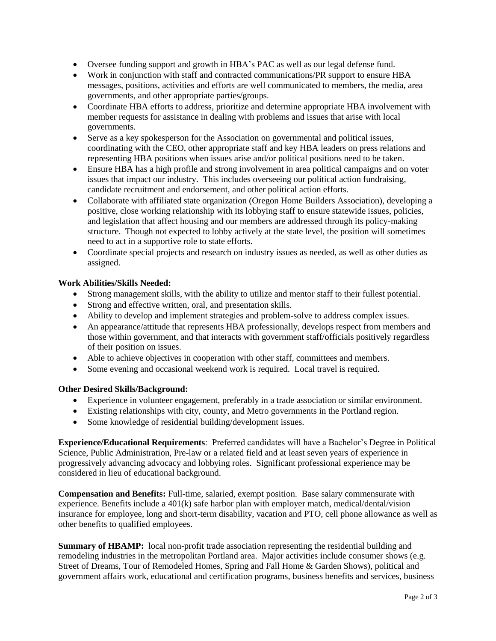- Oversee funding support and growth in HBA's PAC as well as our legal defense fund.
- Work in conjunction with staff and contracted communications/PR support to ensure HBA messages, positions, activities and efforts are well communicated to members, the media, area governments, and other appropriate parties/groups.
- Coordinate HBA efforts to address, prioritize and determine appropriate HBA involvement with member requests for assistance in dealing with problems and issues that arise with local governments.
- Serve as a key spokesperson for the Association on governmental and political issues, coordinating with the CEO, other appropriate staff and key HBA leaders on press relations and representing HBA positions when issues arise and/or political positions need to be taken.
- Ensure HBA has a high profile and strong involvement in area political campaigns and on voter issues that impact our industry. This includes overseeing our political action fundraising, candidate recruitment and endorsement, and other political action efforts.
- Collaborate with affiliated state organization (Oregon Home Builders Association), developing a positive, close working relationship with its lobbying staff to ensure statewide issues, policies, and legislation that affect housing and our members are addressed through its policy-making structure. Though not expected to lobby actively at the state level, the position will sometimes need to act in a supportive role to state efforts.
- Coordinate special projects and research on industry issues as needed, as well as other duties as assigned.

## **Work Abilities/Skills Needed:**

- Strong management skills, with the ability to utilize and mentor staff to their fullest potential.
- Strong and effective written, oral, and presentation skills.
- Ability to develop and implement strategies and problem-solve to address complex issues.
- An appearance/attitude that represents HBA professionally, develops respect from members and those within government, and that interacts with government staff/officials positively regardless of their position on issues.
- Able to achieve objectives in cooperation with other staff, committees and members.
- Some evening and occasional weekend work is required. Local travel is required.

### **Other Desired Skills/Background:**

- Experience in volunteer engagement, preferably in a trade association or similar environment.
- Existing relationships with city, county, and Metro governments in the Portland region.
- Some knowledge of residential building/development issues.

**Experience/Educational Requirements**: Preferred candidates will have a Bachelor's Degree in Political Science, Public Administration, Pre-law or a related field and at least seven years of experience in progressively advancing advocacy and lobbying roles. Significant professional experience may be considered in lieu of educational background.

**Compensation and Benefits:** Full-time, salaried, exempt position. Base salary commensurate with experience. Benefits include a 401(k) safe harbor plan with employer match, medical/dental/vision insurance for employee, long and short-term disability, vacation and PTO, cell phone allowance as well as other benefits to qualified employees.

**Summary of HBAMP:** local non-profit trade association representing the residential building and remodeling industries in the metropolitan Portland area. Major activities include consumer shows (e.g. Street of Dreams, Tour of Remodeled Homes, Spring and Fall Home & Garden Shows), political and government affairs work, educational and certification programs, business benefits and services, business